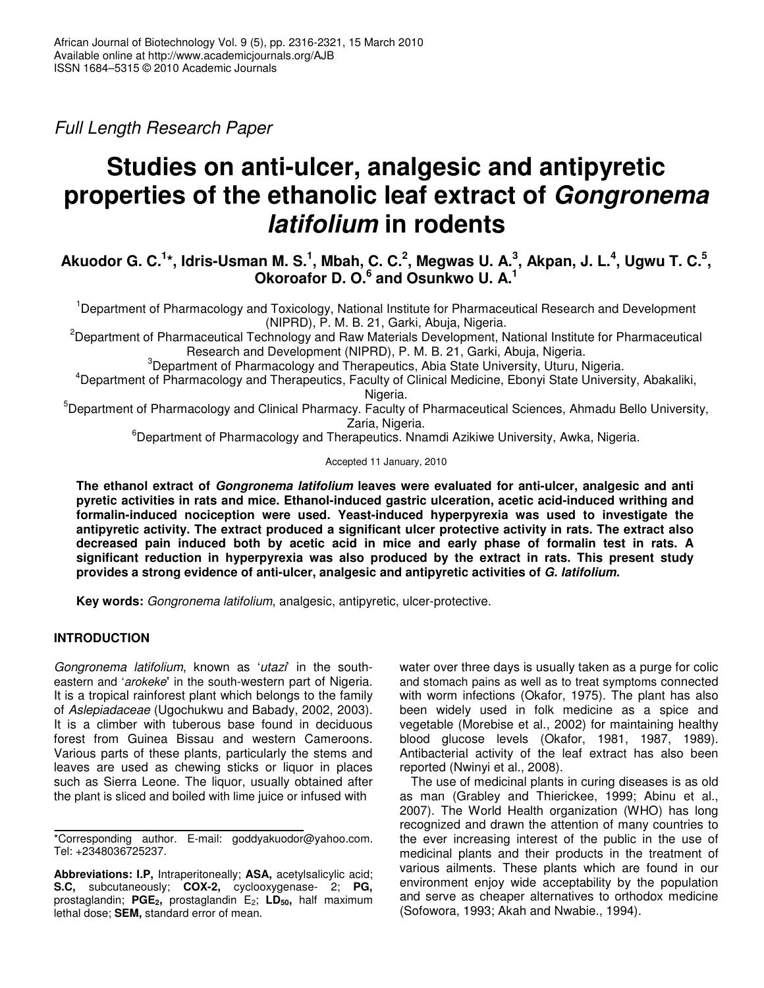*Full Length Research Paper*

# **Studies on anti-ulcer, analgesic and antipyretic properties of the ethanolic leaf extract of** *Gongronema latifolium* **in rodents**

Akuodor G. C. $^{1\star}$ , Idris-Usman M. S. $^{1}$ , Mbah, C. C. $^{2}$ , Megwas U. A. $^{3}_{\cdot}$ , Akpan, J. L. $^{4}$ , Ugwu T. C. $^{5}$ , **Okoroafor D. O. 6 and Osunkwo U. A. 1**

<sup>1</sup>Department of Pharmacology and Toxicology, National Institute for Pharmaceutical Research and Development (NIPRD), P. M. B. 21, Garki, Abuja, Nigeria.

<sup>2</sup>Department of Pharmaceutical Technology and Raw Materials Development, National Institute for Pharmaceutical Research and Development (NIPRD), P. M. B. 21, Garki, Abuja, Nigeria.

<sup>3</sup>Department of Pharmacology and Therapeutics, Abia State University, Uturu, Nigeria.

<sup>4</sup>Department of Pharmacology and Therapeutics, Faculty of Clinical Medicine, Ebonyi State University, Abakaliki, Nigeria.

<sup>5</sup>Department of Pharmacology and Clinical Pharmacy. Faculty of Pharmaceutical Sciences, Ahmadu Bello University, Zaria, Nigeria.

<sup>6</sup>Department of Pharmacology and Therapeutics. Nnamdi Azikiwe University, Awka, Nigeria.

Accepted 11 January, 2010

**The ethanol extract of** *Gongronema latifolium* **leaves were evaluated for anti-ulcer, analgesic and anti pyretic activities in rats and mice. Ethanol-induced gastric ulceration, acetic acid-induced writhing and formalin-induced nociception were used. Yeast-induced hyperpyrexia was used to investigate the antipyretic activity. The extract produced a significant ulcer protective activity in rats. The extract also decreased pain induced both by acetic acid in mice and early phase of formalin test in rats. A significant reduction in hyperpyrexia was also produced by the extract in rats. This present study provides a strong evidence of anti-ulcer, analgesic and antipyretic activities of** *G. latifolium.*

**Key words:** *Gongronema latifolium*, analgesic, antipyretic, ulcer-protective.

# **INTRODUCTION**

*Gongronema latifolium*, known as '*utazi*' in the southeastern and '*arokeke***'** in the south-western part of Nigeria. It is a tropical rainforest plant which belongs to the family of *Aslepiadaceae* (Ugochukwu and Babady, 2002, 2003). It is a climber with tuberous base found in deciduous forest from Guinea Bissau and western Cameroons. Various parts of these plants, particularly the stems and leaves are used as chewing sticks or liquor in places such as Sierra Leone. The liquor, usually obtained after the plant is sliced and boiled with lime juice or infused with

\*Corresponding author. E-mail: goddyakuodor@yahoo.com. Tel: +2348036725237.

**Abbreviations: I.P,** Intraperitoneally; **ASA,** acetylsalicylic acid; **S.C,** subcutaneously; **COX-2,** cyclooxygenase- 2; **PG,** prostaglandin; **PGE2,** prostaglandin E2; **LD50,** half maximum lethal dose; **SEM,** standard error of mean.

water over three days is usually taken as a purge for colic and stomach pains as well as to treat symptoms connected with worm infections (Okafor, 1975). The plant has also been widely used in folk medicine as a spice and vegetable (Morebise et al., 2002) for maintaining healthy blood glucose levels (Okafor, 1981, 1987, 1989). Antibacterial activity of the leaf extract has also been reported (Nwinyi et al., 2008).

The use of medicinal plants in curing diseases is as old as man (Grabley and Thierickee, 1999; Abinu et al., 2007). The World Health organization (WHO) has long recognized and drawn the attention of many countries to the ever increasing interest of the public in the use of medicinal plants and their products in the treatment of various ailments. These plants which are found in our environment enjoy wide acceptability by the population and serve as cheaper alternatives to orthodox medicine (Sofowora, 1993; Akah and Nwabie., 1994).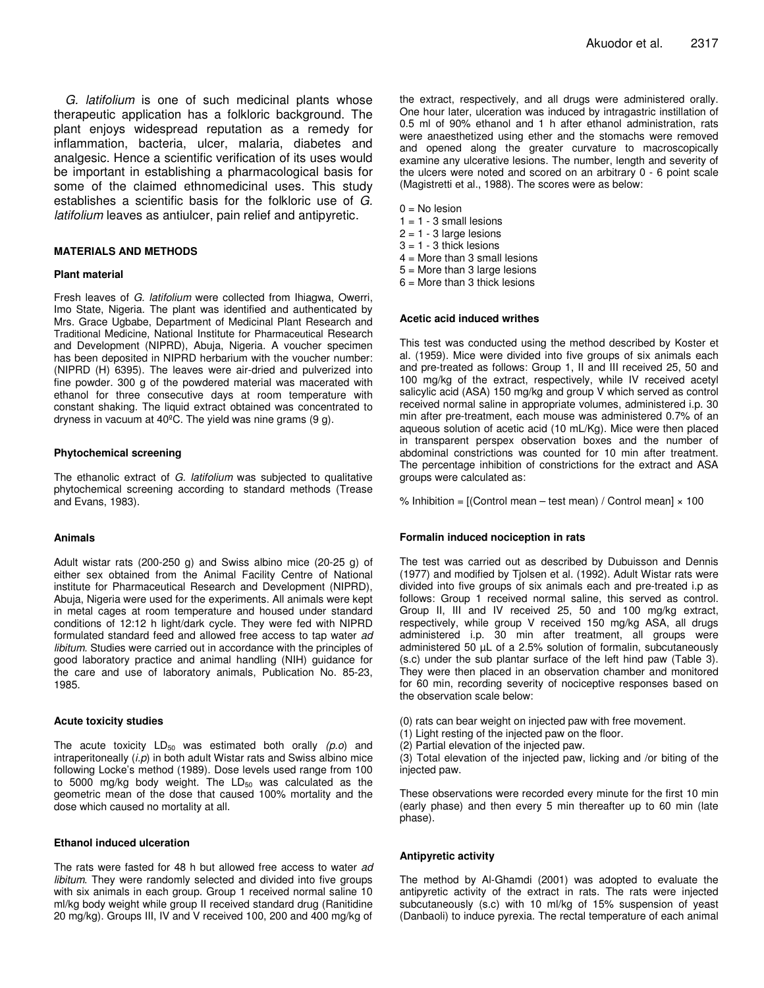*G. latifolium* is one of such medicinal plants whose therapeutic application has a folkloric background. The plant enjoys widespread reputation as a remedy for inflammation, bacteria, ulcer, malaria, diabetes and analgesic. Hence a scientific verification of its uses would be important in establishing a pharmacological basis for some of the claimed ethnomedicinal uses. This study establishes a scientific basis for the folkloric use of *G. latifolium* leaves as antiulcer, pain relief and antipyretic.

## **MATERIALS AND METHODS**

## **Plant material**

Fresh leaves of *G. latifolium* were collected from Ihiagwa, Owerri, Imo State, Nigeria. The plant was identified and authenticated by Mrs. Grace Ugbabe, Department of Medicinal Plant Research and Traditional Medicine, National Institute for Pharmaceutical Research and Development (NIPRD), Abuja, Nigeria. A voucher specimen has been deposited in NIPRD herbarium with the voucher number: (NIPRD (H) 6395). The leaves were air-dried and pulverized into fine powder. 300 g of the powdered material was macerated with ethanol for three consecutive days at room temperature with constant shaking. The liquid extract obtained was concentrated to dryness in vacuum at 40ºC. The yield was nine grams (9 g).

### **Phytochemical screening**

The ethanolic extract of *G. latifolium* was subjected to qualitative phytochemical screening according to standard methods (Trease and Evans, 1983).

## **Animals**

Adult wistar rats (200-250 g) and Swiss albino mice (20-25 g) of either sex obtained from the Animal Facility Centre of National institute for Pharmaceutical Research and Development (NIPRD), Abuja, Nigeria were used for the experiments. All animals were kept in metal cages at room temperature and housed under standard conditions of 12:12 h light/dark cycle. They were fed with NIPRD formulated standard feed and allowed free access to tap water *ad libitum.* Studies were carried out in accordance with the principles of good laboratory practice and animal handling (NIH) guidance for the care and use of laboratory animals, Publication No. 85-23, 1985.

### **Acute toxicity studies**

The acute toxicity LD<sub>50</sub> was estimated both orally (p.o) and intraperitoneally (*i.p*) in both adult Wistar rats and Swiss albino mice following Locke's method (1989). Dose levels used range from 100 to 5000 mg/kg body weight. The  $LD_{50}$  was calculated as the geometric mean of the dose that caused 100% mortality and the dose which caused no mortality at all.

## **Ethanol induced ulceration**

The rats were fasted for 48 h but allowed free access to water *ad libitum*. They were randomly selected and divided into five groups with six animals in each group. Group 1 received normal saline 10 ml/kg body weight while group II received standard drug (Ranitidine 20 mg/kg). Groups III, IV and V received 100, 200 and 400 mg/kg of

the extract, respectively, and all drugs were administered orally. One hour later, ulceration was induced by intragastric instillation of 0.5 ml of 90% ethanol and 1 h after ethanol administration, rats were anaesthetized using ether and the stomachs were removed and opened along the greater curvature to macroscopically examine any ulcerative lesions. The number, length and severity of the ulcers were noted and scored on an arbitrary 0 - 6 point scale (Magistretti et al., 1988). The scores were as below:

 $0 =$ No lesion

- $1 = 1 3$  small lesions
- $2 = 1 3$  large lesions
- $3 = 1 3$  thick lesions
- $4 =$  More than 3 small lesions
- $5 =$  More than 3 large lesions
- $6$  = More than 3 thick lesions

#### **Acetic acid induced writhes**

This test was conducted using the method described by Koster et al. (1959). Mice were divided into five groups of six animals each and pre-treated as follows: Group 1, II and III received 25, 50 and 100 mg/kg of the extract, respectively, while IV received acetyl salicylic acid (ASA) 150 mg/kg and group V which served as control received normal saline in appropriate volumes, administered i.p. 30 min after pre-treatment, each mouse was administered 0.7% of an aqueous solution of acetic acid (10 mL/Kg). Mice were then placed in transparent perspex observation boxes and the number of abdominal constrictions was counted for 10 min after treatment. The percentage inhibition of constrictions for the extract and ASA groups were calculated as:

% Inhibition =  $[(\text{Control mean} - \text{test mean}) / \text{Control mean}] \times 100$ 

### **Formalin induced nociception in rats**

The test was carried out as described by Dubuisson and Dennis (1977) and modified by Tjolsen et al. (1992). Adult Wistar rats were divided into five groups of six animals each and pre-treated i.p as follows: Group 1 received normal saline, this served as control. Group II, III and IV received 25, 50 and 100 mg/kg extract, respectively, while group V received 150 mg/kg ASA, all drugs administered i.p. 30 min after treatment, all groups were administered 50 µL of a 2.5% solution of formalin, subcutaneously (s.c) under the sub plantar surface of the left hind paw (Table 3). They were then placed in an observation chamber and monitored for 60 min, recording severity of nociceptive responses based on the observation scale below:

- (0) rats can bear weight on injected paw with free movement.
- (1) Light resting of the injected paw on the floor.
- (2) Partial elevation of the injected paw.

(3) Total elevation of the injected paw, licking and /or biting of the injected paw.

These observations were recorded every minute for the first 10 min (early phase) and then every 5 min thereafter up to 60 min (late phase).

### **Antipyretic activity**

The method by Al-Ghamdi (2001) was adopted to evaluate the antipyretic activity of the extract in rats. The rats were injected subcutaneously (s.c) with 10 ml/kg of 15% suspension of yeast (Danbaoli) to induce pyrexia. The rectal temperature of each animal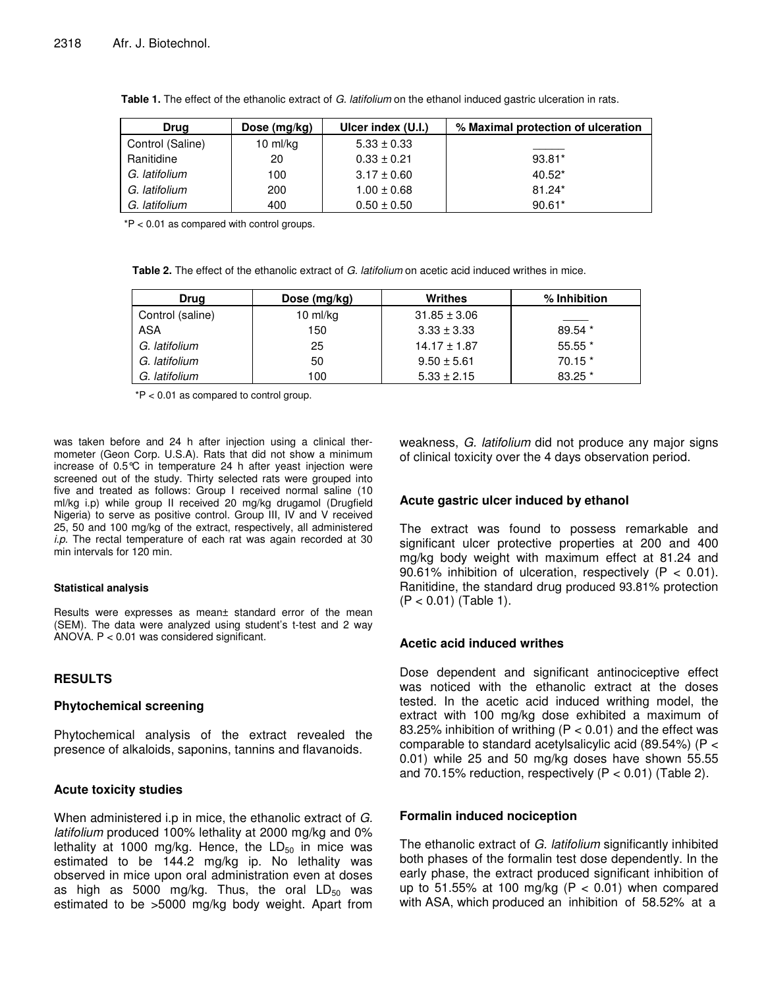| Dose (mg/kg)<br>Drug |            | Ulcer index (U.I.) | % Maximal protection of ulceration |  |
|----------------------|------------|--------------------|------------------------------------|--|
| Control (Saline)     | 10 $ml/kg$ | $5.33 \pm 0.33$    |                                    |  |
| Ranitidine           | 20         | $0.33 \pm 0.21$    | $93.81*$                           |  |
| G. latifolium        | 100        | $3.17 \pm 0.60$    | $40.52*$                           |  |
| G. latifolium        | 200        | $1.00 \pm 0.68$    | $81.24*$                           |  |
| G. latifolium        | 400        | $0.50 \pm 0.50$    | $90.61*$                           |  |

**Table 1.** The effect of the ethanolic extract of *G. latifolium* on the ethanol induced gastric ulceration in rats.

 $*P < 0.01$  as compared with control groups.

**Table 2.** The effect of the ethanolic extract of *G. latifolium* on acetic acid induced writhes in mice.

| Drug             | Dose $(mg/kg)$ | Writhes          | % Inhibition |
|------------------|----------------|------------------|--------------|
| Control (saline) | 10 ml/kg       | $31.85 \pm 3.06$ |              |
| ASA              | 150            | $3.33 \pm 3.33$  | 89.54 *      |
| G. latifolium    | 25             | $14.17 \pm 1.87$ | $55.55*$     |
| G. latifolium    | 50             | $9.50 \pm 5.61$  | $70.15*$     |
| G. latifolium    | 100            | $5.33 \pm 2.15$  | 83.25 *      |

\*P < 0.01 as compared to control group.

was taken before and 24 h after injection using a clinical thermometer (Geon Corp. U.S.A). Rats that did not show a minimum increase of 0.5°C in temperature 24 h after yeast injection were screened out of the study. Thirty selected rats were grouped into five and treated as follows: Group I received normal saline (10 ml/kg i.p) while group II received 20 mg/kg drugamol (Drugfield Nigeria) to serve as positive control. Group III, IV and V received 25, 50 and 100 mg/kg of the extract, respectively, all administered *i.p*. The rectal temperature of each rat was again recorded at 30 min intervals for 120 min.

## **Statistical analysis**

Results were expresses as mean± standard error of the mean (SEM). The data were analyzed using student's t-test and 2 way ANOVA. P < 0.01 was considered significant.

# **RESULTS**

# **Phytochemical screening**

Phytochemical analysis of the extract revealed the presence of alkaloids, saponins, tannins and flavanoids.

# **Acute toxicity studies**

When administered i.p in mice, the ethanolic extract of *G. latifolium* produced 100% lethality at 2000 mg/kg and 0% lethality at 1000 mg/kg. Hence, the  $LD_{50}$  in mice was estimated to be 144.2 mg/kg ip. No lethality was observed in mice upon oral administration even at doses as high as 5000 mg/kg. Thus, the oral  $LD_{50}$  was estimated to be >5000 mg/kg body weight. Apart from weakness, *G. latifolium* did not produce any major signs of clinical toxicity over the 4 days observation period.

# **Acute gastric ulcer induced by ethanol**

The extract was found to possess remarkable and significant ulcer protective properties at 200 and 400 mg/kg body weight with maximum effect at 81.24 and 90.61% inhibition of ulceration, respectively  $(P < 0.01)$ . Ranitidine, the standard drug produced 93.81% protection (P < 0.01) (Table 1).

# **Acetic acid induced writhes**

Dose dependent and significant antinociceptive effect was noticed with the ethanolic extract at the doses tested. In the acetic acid induced writhing model, the extract with 100 mg/kg dose exhibited a maximum of 83.25% inhibition of writhing ( $P < 0.01$ ) and the effect was comparable to standard acetylsalicylic acid (89.54%) (P < 0.01) while 25 and 50 mg/kg doses have shown 55.55 and 70.15% reduction, respectively  $(P < 0.01)$  (Table 2).

# **Formalin induced nociception**

The ethanolic extract of *G. latifolium* significantly inhibited both phases of the formalin test dose dependently. In the early phase, the extract produced significant inhibition of up to 51.55% at 100 mg/kg  $(P < 0.01)$  when compared with ASA, which produced an inhibition of 58.52% at a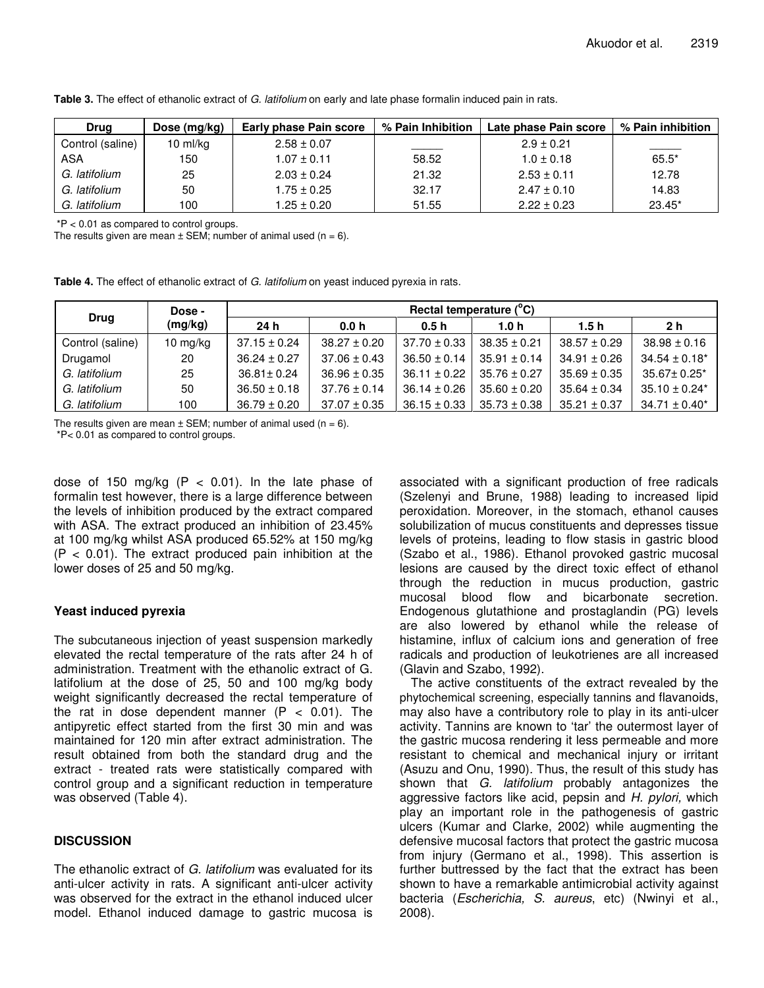| <b>Drug</b>      | Dose $(mg/kg)$     | Early phase Pain score | % Pain Inhibition | Late phase Pain score | % Pain inhibition |
|------------------|--------------------|------------------------|-------------------|-----------------------|-------------------|
| Control (saline) | $10 \text{ ml/kg}$ | $2.58 \pm 0.07$        |                   | $2.9 \pm 0.21$        |                   |
| ASA              | 150                | $1.07 \pm 0.11$        | 58.52             | $1.0 \pm 0.18$        | $65.5*$           |
| G. latifolium    | 25                 | $2.03 \pm 0.24$        | 21.32             | $2.53 \pm 0.11$       | 12.78             |
| G. latifolium    | 50                 | 1.75 ± 0.25            | 32.17             | $2.47 \pm 0.10$       | 14.83             |
| G. latifolium    | 100                | $1.25\pm0.20$          | 51.55             | $2.22 \pm 0.23$       | $23.45*$          |

**Table 3.** The effect of ethanolic extract of *G. latifolium* on early and late phase formalin induced pain in rats.

\*P < 0.01 as compared to control groups.

The results given are mean  $\pm$  SEM; number of animal used (n = 6).

**Table 4.** The effect of ethanolic extract of *G. latifolium* on yeast induced pyrexia in rats.

| <b>Drug</b>      | Dose -<br>(mg/kg) | Rectal temperature (°C) |                  |                  |                  |                  |                    |
|------------------|-------------------|-------------------------|------------------|------------------|------------------|------------------|--------------------|
|                  |                   | 24h                     | 0.0 h            | 0.5 <sub>h</sub> | 1.0h             | 1.5h             | 2 h                |
| Control (saline) | 10 mg/kg          | $37.15 \pm 0.24$        | $38.27 \pm 0.20$ | $37.70 \pm 0.33$ | $38.35 \pm 0.21$ | $38.57 \pm 0.29$ | $38.98 \pm 0.16$   |
| Drugamol         | 20                | $36.24 \pm 0.27$        | $37.06 \pm 0.43$ | $36.50 \pm 0.14$ | $35.91 \pm 0.14$ | $34.91 \pm 0.26$ | $34.54 \pm 0.18^*$ |
| G. latifolium    | 25                | $36.81 \pm 0.24$        | $36.96 \pm 0.35$ | $36.11 \pm 0.22$ | $35.76 \pm 0.27$ | $35.69 \pm 0.35$ | $35.67 \pm 0.25^*$ |
| G. latifolium    | 50                | $36.50 \pm 0.18$        | $37.76 \pm 0.14$ | $36.14 \pm 0.26$ | $35.60 \pm 0.20$ | $35.64 \pm 0.34$ | $35.10 \pm 0.24*$  |
| G. latifolium    | 100               | $36.79 \pm 0.20$        | $37.07 \pm 0.35$ | $36.15 \pm 0.33$ | $35.73 \pm 0.38$ | $35.21 \pm 0.37$ | $34.71 \pm 0.40^*$ |

The results given are mean  $\pm$  SEM; number of animal used (n = 6).

\*P< 0.01 as compared to control groups.

dose of 150 mg/kg  $(P < 0.01)$ . In the late phase of formalin test however, there is a large difference between the levels of inhibition produced by the extract compared with ASA. The extract produced an inhibition of 23.45% at 100 mg/kg whilst ASA produced 65.52% at 150 mg/kg  $(P < 0.01)$ . The extract produced pain inhibition at the lower doses of 25 and 50 mg/kg.

# **Yeast induced pyrexia**

The subcutaneous injection of yeast suspension markedly elevated the rectal temperature of the rats after 24 h of administration. Treatment with the ethanolic extract of G. latifolium at the dose of 25, 50 and 100 mg/kg body weight significantly decreased the rectal temperature of the rat in dose dependent manner  $(P < 0.01)$ . The antipyretic effect started from the first 30 min and was maintained for 120 min after extract administration. The result obtained from both the standard drug and the extract - treated rats were statistically compared with control group and a significant reduction in temperature was observed (Table 4).

# **DISCUSSION**

The ethanolic extract of *G. latifolium* was evaluated for its anti-ulcer activity in rats. A significant anti-ulcer activity was observed for the extract in the ethanol induced ulcer model. Ethanol induced damage to gastric mucosa is

associated with a significant production of free radicals (Szelenyi and Brune, 1988) leading to increased lipid peroxidation. Moreover, in the stomach, ethanol causes solubilization of mucus constituents and depresses tissue levels of proteins, leading to flow stasis in gastric blood (Szabo et al., 1986). Ethanol provoked gastric mucosal lesions are caused by the direct toxic effect of ethanol through the reduction in mucus production, gastric mucosal blood flow and bicarbonate secretion. Endogenous glutathione and prostaglandin (PG) levels are also lowered by ethanol while the release of histamine, influx of calcium ions and generation of free radicals and production of leukotrienes are all increased (Glavin and Szabo, 1992).

The active constituents of the extract revealed by the phytochemical screening, especially tannins and flavanoids, may also have a contributory role to play in its anti-ulcer activity. Tannins are known to 'tar' the outermost layer of the gastric mucosa rendering it less permeable and more resistant to chemical and mechanical injury or irritant (Asuzu and Onu, 1990). Thus, the result of this study has shown that *G. latifolium* probably antagonizes the aggressive factors like acid, pepsin and *H. pylori,* which play an important role in the pathogenesis of gastric ulcers (Kumar and Clarke, 2002) while augmenting the defensive mucosal factors that protect the gastric mucosa from injury (Germano et al., 1998). This assertion is further buttressed by the fact that the extract has been shown to have a remarkable antimicrobial activity against bacteria (*Escherichia, S. aureus*, etc) (Nwinyi et al., 2008).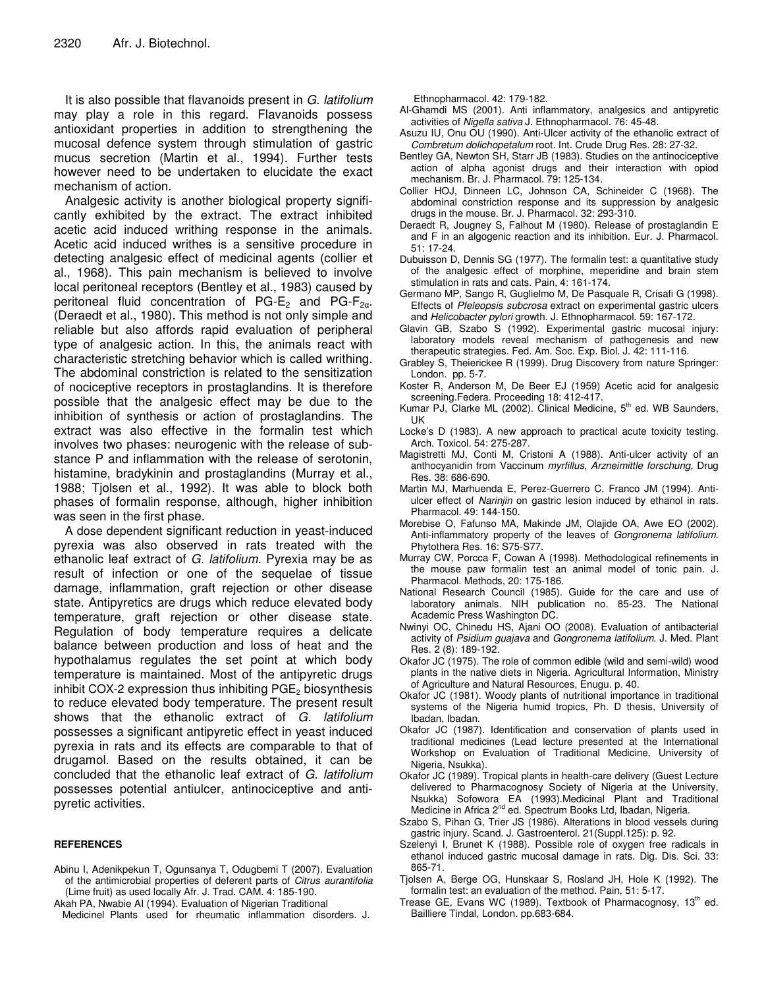It is also possible that flavanoids present in *G. latifolium* may play a role in this regard. Flavanoids possess antioxidant properties in addition to strengthening the mucosal defence system through stimulation of gastric mucus secretion (Martin et al., 1994). Further tests however need to be undertaken to elucidate the exact mechanism of action.

Analgesic activity is another biological property significantly exhibited by the extract. The extract inhibited acetic acid induced writhing response in the animals. Acetic acid induced writhes is a sensitive procedure in detecting analgesic effect of medicinal agents (collier et al., 1968). This pain mechanism is believed to involve local peritoneal receptors (Bentley et al., 1983) caused by peritoneal fluid concentration of PG- $E_2$  and PG- $F_{2\alpha}$ . (Deraedt et al., 1980). This method is not only simple and reliable but also affords rapid evaluation of peripheral type of analgesic action. In this, the animals react with characteristic stretching behavior which is called writhing. The abdominal constriction is related to the sensitization of nociceptive receptors in prostaglandins. It is therefore possible that the analgesic effect may be due to the inhibition of synthesis or action of prostaglandins. The extract was also effective in the formalin test which involves two phases: neurogenic with the release of substance P and inflammation with the release of serotonin, histamine, bradykinin and prostaglandins (Murray et al., 1988; Tjolsen et al., 1992). It was able to block both phases of formalin response, although, higher inhibition was seen in the first phase.

A dose dependent significant reduction in yeast-induced pyrexia was also observed in rats treated with the ethanolic leaf extract of *G. latifolium.* Pyrexia may be as result of infection or one of the sequelae of tissue damage, inflammation, graft rejection or other disease state. Antipyretics are drugs which reduce elevated body temperature, graft rejection or other disease state. Regulation of body temperature requires a delicate balance between production and loss of heat and the hypothalamus regulates the set point at which body temperature is maintained. Most of the antipyretic drugs inhibit COX-2 expression thus inhibiting  $PGE<sub>2</sub>$  biosynthesis to reduce elevated body temperature. The present result shows that the ethanolic extract of *G. latifolium* possesses a significant antipyretic effect in yeast induced pyrexia in rats and its effects are comparable to that of drugamol. Based on the results obtained, it can be concluded that the ethanolic leaf extract of *G. latifolium* possesses potential antiulcer, antinociceptive and antipyretic activities.

## **REFERENCES**

Abinu I, Adenikpekun T, Ogunsanya T, Odugbemi T (2007). Evaluation of the antimicrobial properties of deferent parts of *Citrus aurantifolia* (Lime fruit) as used locally Afr. J. Trad. CAM. 4: 185-190.

Akah PA, Nwabie AI (1994). Evaluation of Nigerian Traditional

Medicinel Plants used for rheumatic inflammation disorders. J.

Ethnopharmacol. 42: 179-182.

- Al-Ghamdi MS (2001). Anti inflammatory, analgesics and antipyretic activities of *Nigella sativa* J. Ethnopharmacol. 76: 45-48.
- Asuzu IU, Onu OU (1990). Anti-Ulcer activity of the ethanolic extract of *Combretum dolichopetalum* root. Int. Crude Drug Res. 28: 27-32.
- Bentley GA, Newton SH, Starr JB (1983). Studies on the antinociceptive action of alpha agonist drugs and their interaction with opiod mechanism. Br. J. Pharmacol. 79: 125-134.
- Collier HOJ, Dinneen LC, Johnson CA, Schineider C (1968). The abdominal constriction response and its suppression by analgesic drugs in the mouse. Br. J. Pharmacol. 32: 293-310.
- Deraedt R, Jougney S, Falhout M (1980). Release of prostaglandin E and F in an algogenic reaction and its inhibition. Eur. J. Pharmacol. 51: 17-24.
- Dubuisson D, Dennis SG (1977). The formalin test: a quantitative study of the analgesic effect of morphine, meperidine and brain stem stimulation in rats and cats. Pain, 4: 161-174.
- Germano MP, Sango R, Guglielmo M, De Pasquale R, Crisafi G (1998). Effects of *Pfeleopsis subcrosa* extract on experimental gastric ulcers and *Helicobacter pylori* growth. J. Ethnopharmacol. 59: 167-172.
- Glavin GB, Szabo S (1992). Experimental gastric mucosal injury: laboratory models reveal mechanism of pathogenesis and new therapeutic strategies. Fed. Am. Soc. Exp. Biol. J. 42: 111-116.
- Grabley S, Theierickee R (1999). Drug Discovery from nature Springer: London. pp. 5-7.
- Koster R, Anderson M, De Beer EJ (1959) Acetic acid for analgesic screening.Federa. Proceeding 18: 412-417.
- Kumar PJ, Clarke ML (2002). Clinical Medicine, 5<sup>th</sup> ed. WB Saunders, UK
- Locke's D (1983). A new approach to practical acute toxicity testing. Arch. Toxicol. 54: 275-287.
- Magistretti MJ, Conti M, Cristoni A (1988). Anti-ulcer activity of an anthocyanidin from Vaccinum *myrfillus, Arzneimittle forschung,* Drug Res. 38: 686-690.
- Martin MJ, Marhuenda E, Perez-Guerrero C, Franco JM (1994). Antiulcer effect of *Narinjin* on gastric lesion induced by ethanol in rats. Pharmacol. 49: 144-150.
- Morebise O, Fafunso MA, Makinde JM, Olajide OA, Awe EO (2002). Anti-inflammatory property of the leaves of *Gongronema latifolium*. Phytothera Res. 16: S75-S77.
- Murray CW, Porcca F, Cowan A (1998). Methodological refinements in the mouse paw formalin test an animal model of tonic pain. J. Pharmacol. Methods, 20: 175-186.
- National Research Council (1985). Guide for the care and use of laboratory animals. NIH publication no. 85-23. The National Academic Press Washington DC.
- Nwinyi OC, Chinedu HS, Ajani OO (2008). Evaluation of antibacterial activity of *Psidium guajava* and *Gongronema latifolium*. J. Med. Plant Res. 2 (8): 189-192.
- Okafor JC (1975). The role of common edible (wild and semi-wild) wood plants in the native diets in Nigeria. Agricultural Information, Ministry of Agriculture and Natural Resources, Enugu. p. 40.
- Okafor JC (1981). Woody plants of nutritional importance in traditional systems of the Nigeria humid tropics, Ph. D thesis, University of Ibadan, Ibadan.
- Okafor JC (1987). Identification and conservation of plants used in traditional medicines (Lead lecture presented at the International Workshop on Evaluation of Traditional Medicine, University of Nigeria, Nsukka).
- Okafor JC (1989). Tropical plants in health-care delivery (Guest Lecture delivered to Pharmacognosy Society of Nigeria at the University, Nsukka) Sofowora EA (1993).Medicinal Plant and Traditional Medicine in Africa 2<sup>nd</sup> ed. Spectrum Books Ltd, Ibadan, Nigeria.
- Szabo S, Pihan G, Trier JS (1986). Alterations in blood vessels during gastric injury. Scand. J. Gastroenterol. 21(Suppl.125): p. 92.
- Szelenyi I, Brunet K (1988). Possible role of oxygen free radicals in ethanol induced gastric mucosal damage in rats. Dig. Dis. Sci. 33: 865-71.
- Tjolsen A, Berge OG, Hunskaar S, Rosland JH, Hole K (1992). The formalin test: an evaluation of the method. Pain, 51: 5-17.
- Trease GE, Evans WC (1989). Textbook of Pharmacognosy, 13<sup>th</sup> ed. Bailliere Tindal, London. pp.683-684.